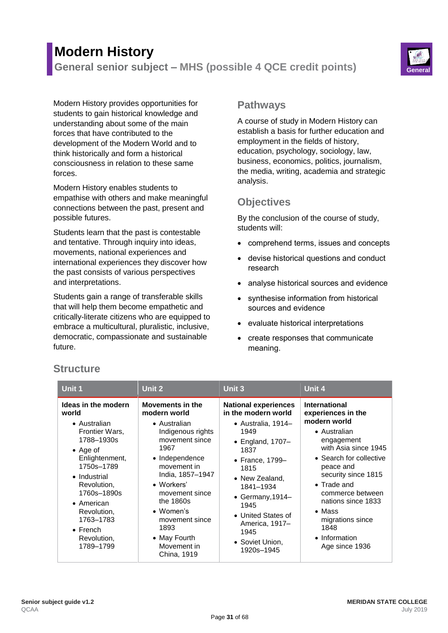# **Modern History**

**General senior subject – MHS (possible 4 QCE credit points) General**



Modern History provides opportunities for students to gain historical knowledge and understanding about some of the main forces that have contributed to the development of the Modern World and to think historically and form a historical consciousness in relation to these same forces.

Modern History enables students to empathise with others and make meaningful connections between the past, present and possible futures.

Students learn that the past is contestable and tentative. Through inquiry into ideas, movements, national experiences and international experiences they discover how the past consists of various perspectives and interpretations.

Students gain a range of transferable skills that will help them become empathetic and critically-literate citizens who are equipped to embrace a multicultural, pluralistic, inclusive, democratic, compassionate and sustainable future.

## **Pathways**

A course of study in Modern History can establish a basis for further education and employment in the fields of history, education, psychology, sociology, law, business, economics, politics, journalism, the media, writing, academia and strategic analysis.

# **Objectives**

By the conclusion of the course of study, students will:

- comprehend terms, issues and concepts
- devise historical questions and conduct research
- analyse historical sources and evidence
- synthesise information from historical sources and evidence
- evaluate historical interpretations
- create responses that communicate meaning.

| Unit 1                                                                                                                                                                                                                                                                   | Unit 2                                                                                                                                                                                                                                                                                 | <b>Unit 3</b>                                                                                                                                                                                                                                                                               | Unit 4                                                                                                                                                                                                                                                                                                                            |
|--------------------------------------------------------------------------------------------------------------------------------------------------------------------------------------------------------------------------------------------------------------------------|----------------------------------------------------------------------------------------------------------------------------------------------------------------------------------------------------------------------------------------------------------------------------------------|---------------------------------------------------------------------------------------------------------------------------------------------------------------------------------------------------------------------------------------------------------------------------------------------|-----------------------------------------------------------------------------------------------------------------------------------------------------------------------------------------------------------------------------------------------------------------------------------------------------------------------------------|
| Ideas in the modern<br>world<br>• Australian<br>Frontier Wars,<br>1788–1930s<br>$\bullet$ Age of<br>Enlightenment,<br>1750s-1789<br>• Industrial<br>Revolution,<br>1760s-1890s<br>• American<br>Revolution,<br>1763-1783<br>$\bullet$ French<br>Revolution,<br>1789-1799 | Movements in the<br>modern world<br>• Australian<br>Indigenous rights<br>movement since<br>1967<br>• Independence<br>movement in<br>India, 1857-1947<br>• Workers'<br>movement since<br>the 1860s<br>• Women's<br>movement since<br>1893<br>• May Fourth<br>Movement in<br>China, 1919 | <b>National experiences</b><br>in the modern world<br>• Australia, 1914–<br>1949<br>$\bullet$ England, 1707-<br>1837<br>• France, 1799-<br>1815<br>• New Zealand,<br>1841-1934<br>• Germany, 1914-<br>1945<br>• United States of<br>America, 1917-<br>1945<br>• Soviet Union,<br>1920s-1945 | <b>International</b><br>experiences in the<br>modern world<br>• Australian<br>engagement<br>with Asia since 1945<br>• Search for collective<br>peace and<br>security since 1815<br>$\bullet$ Trade and<br>commerce between<br>nations since 1833<br>$\bullet$ Mass<br>migrations since<br>1848<br>• Information<br>Age since 1936 |

# **Structure**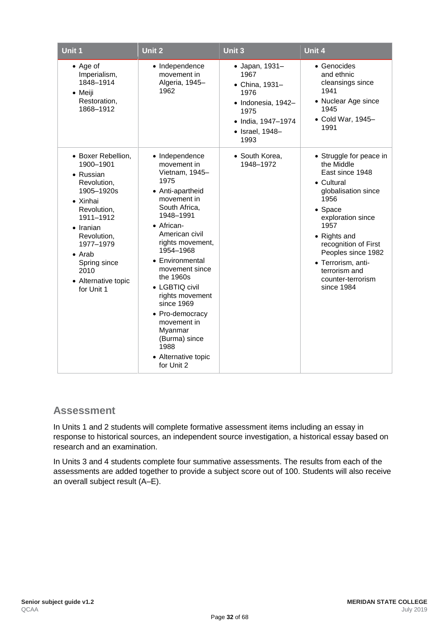| <b>Unit 1</b>                                                                                                                                                                                                                                     | Unit 2                                                                                                                                                                                                                                                                                                                                                                                                    | Unit $3$                                                                                                                        | Unit 4                                                                                                                                                                                                                                                                                |
|---------------------------------------------------------------------------------------------------------------------------------------------------------------------------------------------------------------------------------------------------|-----------------------------------------------------------------------------------------------------------------------------------------------------------------------------------------------------------------------------------------------------------------------------------------------------------------------------------------------------------------------------------------------------------|---------------------------------------------------------------------------------------------------------------------------------|---------------------------------------------------------------------------------------------------------------------------------------------------------------------------------------------------------------------------------------------------------------------------------------|
| $\bullet$ Age of<br>Imperialism,<br>1848-1914<br>$\bullet$ Meiji<br>Restoration,<br>1868-1912                                                                                                                                                     | • Independence<br>movement in<br>Algeria, 1945-<br>1962                                                                                                                                                                                                                                                                                                                                                   | • Japan, 1931-<br>1967<br>• China, 1931-<br>1976<br>· Indonesia, 1942-<br>1975<br>• India, 1947-1974<br>• Israel, 1948-<br>1993 | • Genocides<br>and ethnic<br>cleansings since<br>1941<br>• Nuclear Age since<br>1945<br>• Cold War, 1945-<br>1991                                                                                                                                                                     |
| • Boxer Rebellion,<br>1900-1901<br>• Russian<br>Revolution,<br>1905-1920s<br>• Xinhai<br>Revolution,<br>1911-1912<br>$\bullet$ Iranian<br>Revolution,<br>1977-1979<br>$\bullet$ Arab<br>Spring since<br>2010<br>• Alternative topic<br>for Unit 1 | • Independence<br>movement in<br>Vietnam, 1945-<br>1975<br>• Anti-apartheid<br>movement in<br>South Africa,<br>1948-1991<br>• African-<br>American civil<br>rights movement,<br>1954-1968<br>• Environmental<br>movement since<br>the 1960s<br>• LGBTIQ civil<br>rights movement<br>since 1969<br>• Pro-democracy<br>movement in<br>Myanmar<br>(Burma) since<br>1988<br>• Alternative topic<br>for Unit 2 | • South Korea,<br>1948-1972                                                                                                     | • Struggle for peace in<br>the Middle<br>East since 1948<br>• Cultural<br>globalisation since<br>1956<br>• Space<br>exploration since<br>1957<br>• Rights and<br>recognition of First<br>Peoples since 1982<br>• Terrorism, anti-<br>terrorism and<br>counter-terrorism<br>since 1984 |

## **Assessment**

In Units 1 and 2 students will complete formative assessment items including an essay in response to historical sources, an independent source investigation, a historical essay based on research and an examination.

In Units 3 and 4 students complete four summative assessments. The results from each of the assessments are added together to provide a subject score out of 100. Students will also receive an overall subject result (A–E).